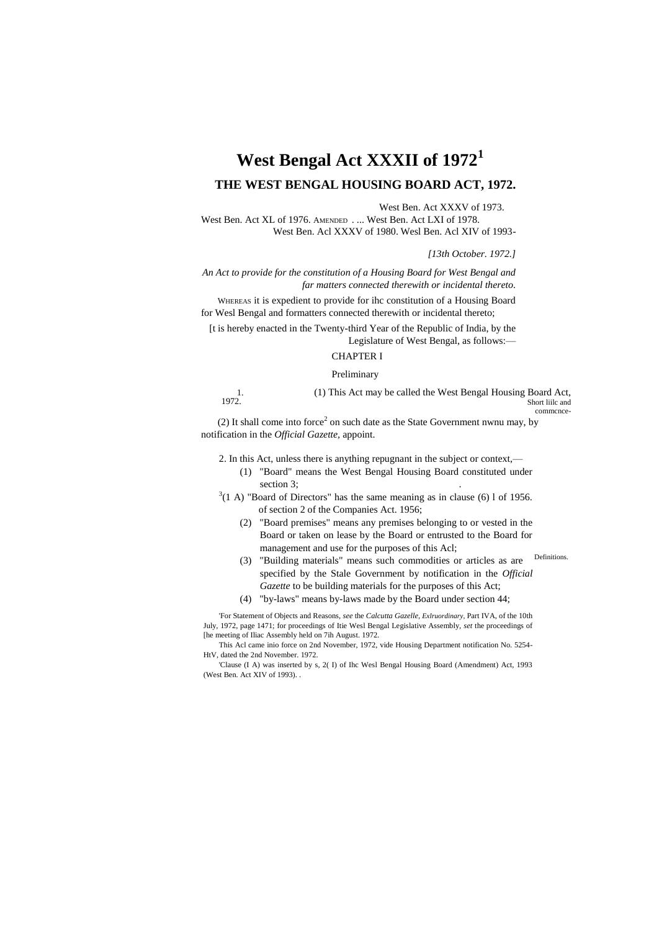# **West Bengal Act XXXII of 1972<sup>1</sup> THE WEST BENGAL HOUSING BOARD ACT, 1972.**

West Ben. Act XXXV of 1973.

West Ben. Act XL of 1976. AMENDED . ... West Ben. Act LXI of 1978. West Ben. Acl XXXV of 1980. Wesl Ben. Acl XIV of 1993-

*[13th October. 1972.]*

*An Act to provide for the constitution of a Housing Board for West Bengal and far matters connected therewith or incidental thereto.*

WHEREAS it is expedient to provide for ihc constitution of a Housing Board for Wesl Bengal and formatters connected therewith or incidental thereto;

[t is hereby enacted in the Twenty-third Year of the Republic of India, by the Legislature of West Bengal, as follows:—

# CHAPTER I

#### Preliminary

1. 1972. (1) This Act may be called the West Bengal Housing Board Act, Short liilc and commcnce-

(2) It shall come into force<sup>2</sup> on such date as the State Government nwnu may, by notification in the *Official Gazette,* appoint.

2. In this Act, unless there is anything repugnant in the subject or context,—

- (1) "Board" means the West Bengal Housing Board constituted under section 3;
- $3(1 \text{ A})$  "Board of Directors" has the same meaning as in clause (6) 1 of 1956. of section 2 of the Companies Act. 1956;
	- (2) "Board premises" means any premises belonging to or vested in the Board or taken on lease by the Board or entrusted to the Board for management and use for the purposes of this Acl;
	- **Definitions** (3) "Building materials" means such commodities or articles as are specified by the Stale Government by notification in the *Official Gazette* to be building materials for the purposes of this Act;
	- (4) "by-laws" means by-laws made by the Board under section 44;

'For Statement of Objects and Reasons, *see* the *Calcutta Gazelle, Exlruordinary,* Part IVA, of the 10th July, 1972, page 1471; for proceedings of Itie Wesl Bengal Legislative Assembly, *set* the proceedings of [he meeting of Iliac Assembly held on 7ih August. 1972.

This Acl came inio force on 2nd November, 1972, vide Housing Department notification No. 5254- HtV, dated the 2nd November. 1972.

'Clause (I A) was inserted by s, 2( I) of Ihc Wesl Bengal Housing Board (Amendment) Act, 1993 (West Ben. Act XIV of 1993). .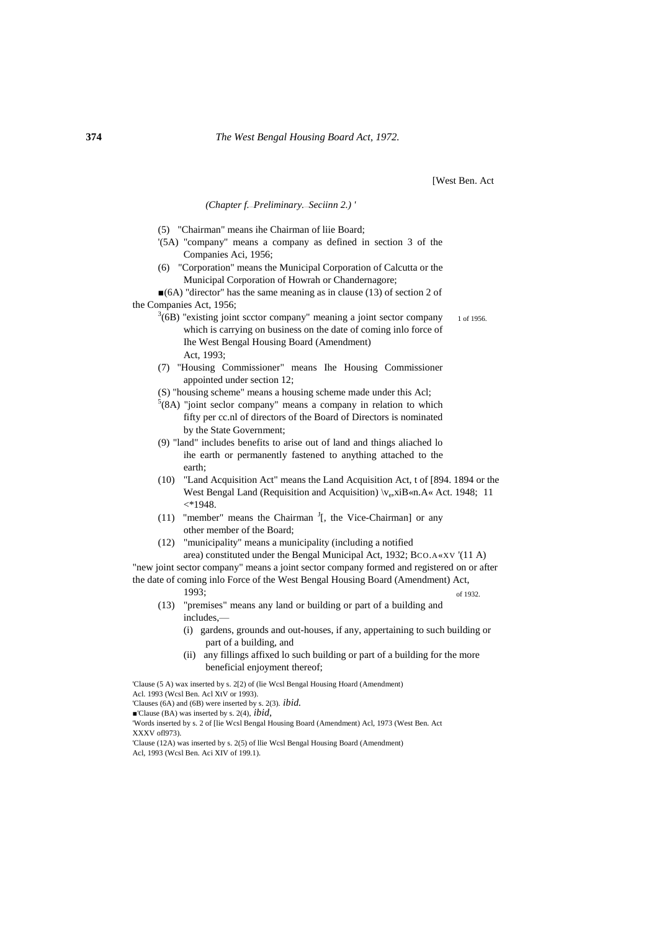# *(Chapter f.*—*Preliminary.*—*Seciinn 2.) '*

- (5) "Chairman" means ihe Chairman of liie Board;
- '(5A) "company" means a company as defined in section 3 of the Companies Aci, 1956;
- (6) "Corporation" means the Municipal Corporation of Calcutta or the Municipal Corporation of Howrah or Chandernagore;
- ■(6A) "director" has the same meaning as in clause (13) of section 2 of the Companies Act, 1956;
	- 1 of 1956.  $3(6B)$  "existing joint scctor company" meaning a joint sector company which is carrying on business on the date of coming inlo force of Ihe West Bengal Housing Board (Amendment) Act, 1993;
	- (7) "Housing Commissioner" means Ihe Housing Commissioner appointed under section 12;
	- (S) "housing scheme" means a housing scheme made under this Acl;
	- $5(8A)$  "joint seclor company" means a company in relation to which fifty per cc.nl of directors of the Board of Directors is nominated by the State Government;
	- (9) "land" includes benefits to arise out of land and things aliached lo ihe earth or permanently fastened to anything attached to the earth;
	- (10) "Land Acquisition Act" means the Land Acquisition Act, t of [894. 1894 or the West Bengal Land (Requisition and Acquisition)  $\vee_{e}$ , xiB«n.A« Act. 1948; 11  $\langle$ \*1948.
	- (11) "member" means the Chairman  $\frac{1}{1}$ , the Vice-Chairman or any other member of the Board;
	- (12) "municipality" means a municipality (including a notified area) constituted under the Bengal Municipal Act, 1932; BCO.A«XV '(11 A)

of 1932. "new joint sector company" means a joint sector company formed and registered on or after the date of coming inlo Force of the West Bengal Housing Board (Amendment) Act, 1993;

- (13) "premises" means any land or building or part of a building and includes,—
	- (i) gardens, grounds and out-houses, if any, appertaining to such building or part of a building, and
	- (ii) any fillings affixed lo such building or part of a building for the more beneficial enjoyment thereof;

'Clause (5 A) wax inserted by s. 2[2) of (lie Wcsl Bengal Housing Hoard (Amendment) Acl. 1993 (Wcsl Ben. Acl XtV or 1993). 'Clauses (6A) and (6B) were inserted by s. 2(3). *ibid.* ■'Clause (BA) was inserted by s. 2(4), *ibid,* 'Words inserted by s. 2 of [lie Wcsl Bengal Housing Board (Amendment) Acl, 1973 (West Ben. Act XXXV ofl973). 'Clause (12A) was inserted by s. 2(5) of llie Wcsl Bengal Housing Board (Amendment) Acl, 1993 (Wcsl Ben. Aci XIV of 199.1).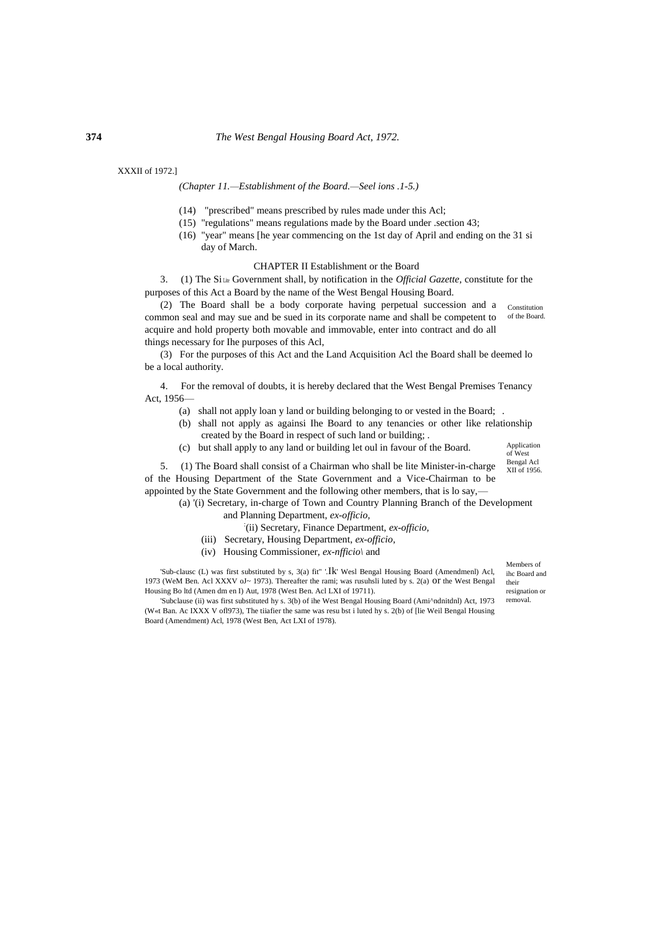#### XXXII of 1972.]

# *(Chapter 11.—Establishment of the Board.—Seel ions .1-5.)*

- (14) "prescribed" means prescribed by rules made under this Acl;
- (15) "regulations" means regulations made by the Board under .section 43;
- (16) "year" means [he year commencing on the 1st day of April and ending on the 31 si day of March.

#### CHAPTER II Establishment or the Board

3. (1) The Si Lite Government shall, by notification in the *Official Gazette,* constitute for the purposes of this Act a Board by the name of the West Bengal Housing Board.

Constitution of the Board. (2) The Board shall be a body corporate having perpetual succession and a common seal and may sue and be sued in its corporate name and shall be competent to acquire and hold property both movable and immovable, enter into contract and do all things necessary for Ihe purposes of this Acl,

(3) For the purposes of this Act and the Land Acquisition Acl the Board shall be deemed lo be a local authority.

4. For the removal of doubts, it is hereby declared that the West Bengal Premises Tenancy Act, 1956—

- (a) shall not apply loan y land or building belonging to or vested in the Board; .
- (b) shall not apply as againsi Ihe Board to any tenancies or other like relationship created by the Board in respect of such land or building; .
- (c) but shall apply to any land or building let oul in favour of the Board.

Application of West Bengal Acl XII of 1956.

5. (1) The Board shall consist of a Chairman who shall be lite Minister-in-charge of the Housing Department of the State Government and a Vice-Chairman to be appointed by the State Government and the following other members, that is lo say,—

(a) '(i) Secretary, in-charge of Town and Country Planning Branch of the Development

- and Planning Department, *ex-officio,*
	- : (ii) Secretary, Finance Department, *ex-officio,*
- (iii) Secretary, Housing Department, *ex-officio,*
- (iv) Housing Commissioner, *ex-nfficio\* and

'Sub-clausc (L) was first substituted by s, 3(a) fit" '.Ik' Wesl Bengal Housing Board (Amendmenl) Acl, 1973 (WeM Ben. Acl XXXV oJ~ 1973). Thereafter the rami; was rusuhsli luted by s. 2(a) or the West Bengal Housing Bo ltd (Amen dm en I) Aut, 1978 (West Ben. Acl LXI of 19711).

'Subclause (ii) was first substituted hy s. 3(b) of ihe West Bengal Housing Board (Ami^ndnitdnl) Act, 1973 (W«t Ban. Ac IXXX V ofl973), The tiiafier the same was resu bst i luted hy s. 2(b) of [lie Weil Bengal Housing Board (Amendment) Acl, 1978 (West Ben, Act LXI of 1978).

Members of ihc Board and their

resignation or removal.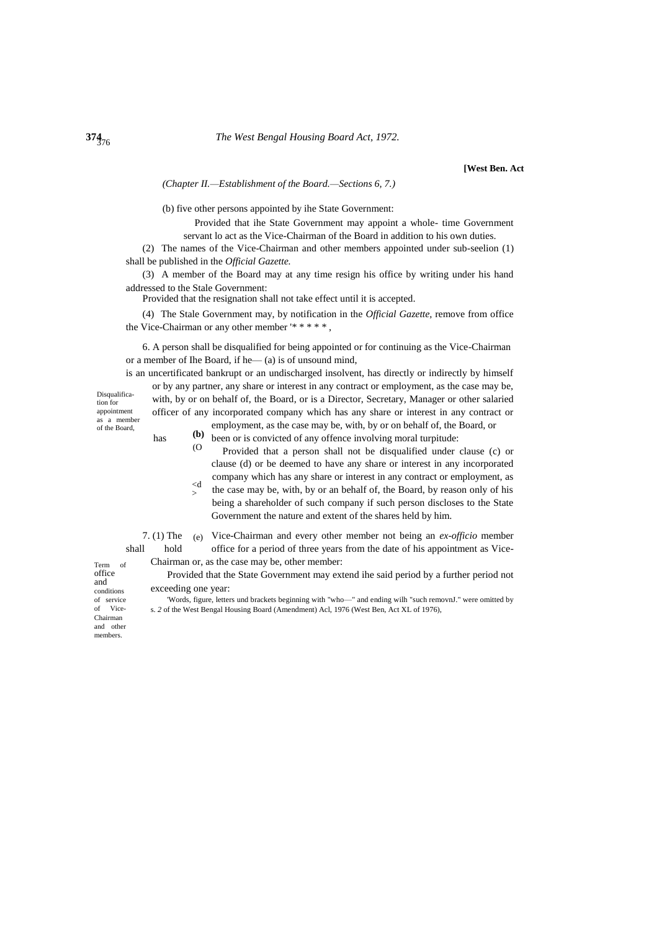*(Chapter II.—Establishment of the Board.—Sections 6, 7.)*

(b) five other persons appointed by ihe State Government:

Provided that ihe State Government may appoint a whole- time Government servant lo act as the Vice-Chairman of the Board in addition to his own duties.

(2) The names of the Vice-Chairman and other members appointed under sub-seelion (1) shall be published in the *Official Gazette.*

(3) A member of the Board may at any time resign his office by writing under his hand addressed to the Stale Government:

Provided that the resignation shall not take effect until it is accepted.

(4) The Stale Government may, by notification in the *Official Gazette,* remove from office the Vice-Chairman or any other member '\* \* \* \* \*,

6. A person shall be disqualified for being appointed or for continuing as the Vice-Chairman or a member of Ihe Board, if he— (a) is of unsound mind,

is an uncertificated bankrupt or an undischarged insolvent, has directly or indirectly by himself

Disqualification for appointment as a member of the Board,

or by any partner, any share or interest in any contract or employment, as the case may be, with, by or on behalf of, the Board, or is a Director, Secretary, Manager or other salaried officer of any incorporated company which has any share or interest in any contract or employment, as the case may be, with, by or on behalf of, the Board, or

- **(b)**  has  $\left( \mathbf{b} \right)$  been or is convicted of any offence involving moral turpitude:
	- $\Omega$ Provided that a person shall not be disqualified under clause (c) or clause (d) or be deemed to have any share or interest in any incorporated company which has any share or interest in any contract or employment, as
	- <d > the case may be, with, by or an behalf of, the Board, by reason only of his being a shareholder of such company if such person discloses to the State Government the nature and extent of the shares held by him.

7. (1) The (e) Vice-Chairman and every other member not being an *ex-officio* member shall hold office for a period of three years from the date of his appointment as Vice-

Chairman or, as the case may be, other member: Provided that the State Government may extend ihe said period by a further period not

and conditions of service of Vice-Chairman and other

members.

Term of office

> exceeding one year: 'Words, figure, letters und brackets beginning with "who—" and ending wilh "such removnJ." were omitted by s. *2* of the West Bengal Housing Board (Amendment) Acl, 1976 (West Ben, Act XL of 1976),

 $374_{76}$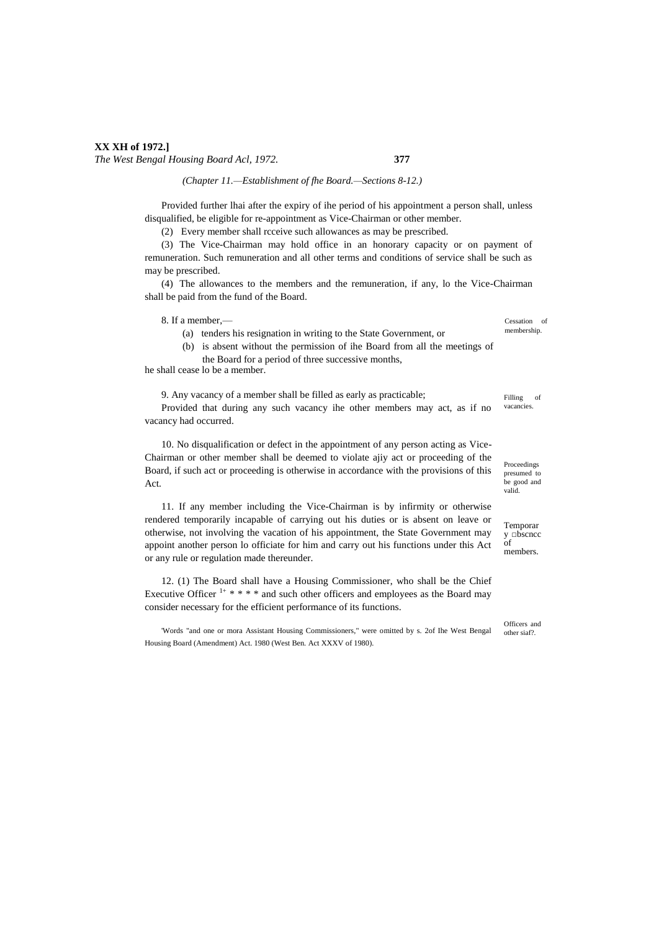# **XX XH of 1972.]** *The West Bengal Housing Board Acl, 1972.* **377**

*(Chapter 11.—Establishment of fhe Board.—Sections 8-12.)*

Provided further lhai after the expiry of ihe period of his appointment a person shall, unless disqualified, be eligible for re-appointment as Vice-Chairman or other member.

(2) Every member shall rcceive such allowances as may be prescribed.

(3) The Vice-Chairman may hold office in an honorary capacity or on payment of remuneration. Such remuneration and all other terms and conditions of service shall be such as may be prescribed.

(4) The allowances to the members and the remuneration, if any, lo the Vice-Chairman shall be paid from the fund of the Board.

8. If a member,—

(a) tenders his resignation in writing to the State Government, or

(b) is absent without the permission of ihe Board from all the meetings of the Board for a period of three successive months,

he shall cease lo be a member.

9. Any vacancy of a member shall be filled as early as practicable; Provided that during any such vacancy ihe other members may act, as if no

vacancy had occurred.

10. No disqualification or defect in the appointment of any person acting as Vice-Chairman or other member shall be deemed to violate ajiy act or proceeding of the Board, if such act or proceeding is otherwise in accordance with the provisions of this Act.

11. If any member including the Vice-Chairman is by infirmity or otherwise rendered temporarily incapable of carrying out his duties or is absent on leave or otherwise, not involving the vacation of his appointment, the State Government may appoint another person lo officiate for him and carry out his functions under this Act or any rule or regulation made thereunder.

12. (1) The Board shall have a Housing Commissioner, who shall be the Chief Executive Officer  $1+$   $*$   $*$   $*$   $*$  and such other officers and employees as the Board may consider necessary for the efficient performance of its functions.

'Words "and one or mora Assistant Housing Commissioners," were omitted by s. 2of Ihe West Bengal Housing Board (Amendment) Act. 1980 (West Ben. Act XXXV of 1980).

Cessation of membership.

Filling of vacancies.

Proceedings presumed to be good and valid.

Temporar  $v$   $\Box$ bscncc  $\delta$ f members.

Officers and other siaf?.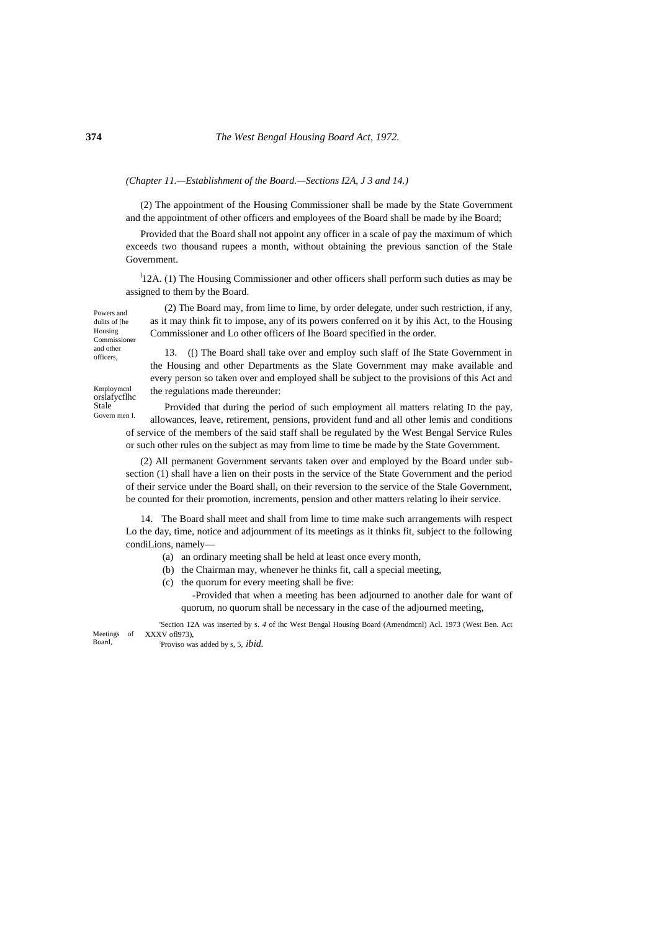# *(Chapter 11.—Establishment of the Board.—Sections I2A, J 3 and 14.)*

(2) The appointment of the Housing Commissioner shall be made by the State Government and the appointment of other officers and employees of the Board shall be made by ihe Board;

Provided that the Board shall not appoint any officer in a scale of pay the maximum of which exceeds two thousand rupees a month, without obtaining the previous sanction of the Stale Government.

<sup>1</sup>12A. (1) The Housing Commissioner and other officers shall perform such duties as may be assigned to them by the Board.

Powers and dulits of [he Housing Commissioner and other officers,

Kmploymcnl orslafycflhc Stale

(2) The Board may, from lime to lime, by order delegate, under such restriction, if any, as it may think fit to impose, any of its powers conferred on it by ihis Act, to the Housing Commissioner and Lo other officers of Ihe Board specified in the order.

13. ([) The Board shall take over and employ such slaff of Ihe State Government in the Housing and other Departments as the Slate Government may make available and every person so taken over and employed shall be subject to the provisions of this Act and the regulations made thereunder:

Govern men I. Provided that during the period of such employment all matters relating ID the pay, allowances, leave, retirement, pensions, provident fund and all other lemis and conditions of service of the members of the said staff shall be regulated by the West Bengal Service Rules or such other rules on the subject as may from lime to time be made by the State Government.

(2) All permanent Government servants taken over and employed by the Board under subsection (1) shall have a lien on their posts in the service of the State Government and the period of their service under the Board shall, on their reversion to the service of the Stale Government, be counted for their promotion, increments, pension and other matters relating lo iheir service.

14. The Board shall meet and shall from lime to time make such arrangements wilh respect Lo the day, time, notice and adjournment of its meetings as it thinks fit, subject to the following condiLions, namely—

- (a) an ordinary meeting shall be held at least once every month,
- (b) the Chairman may, whenever he thinks fit, call a special meeting,
- (c) the quorum for every meeting shall be five:

-Provided that when a meeting has been adjourned to another dale for want of quorum, no quorum shall be necessary in the case of the adjourned meeting,

Meetings of Board, 'Section 12A was inserted by s. *4* of ihc West Bengal Housing Board (Amendmcnl) Acl. 1973 (West Ben. Act XXXV ofl973),

: Proviso was added by s, 5, *ibid.*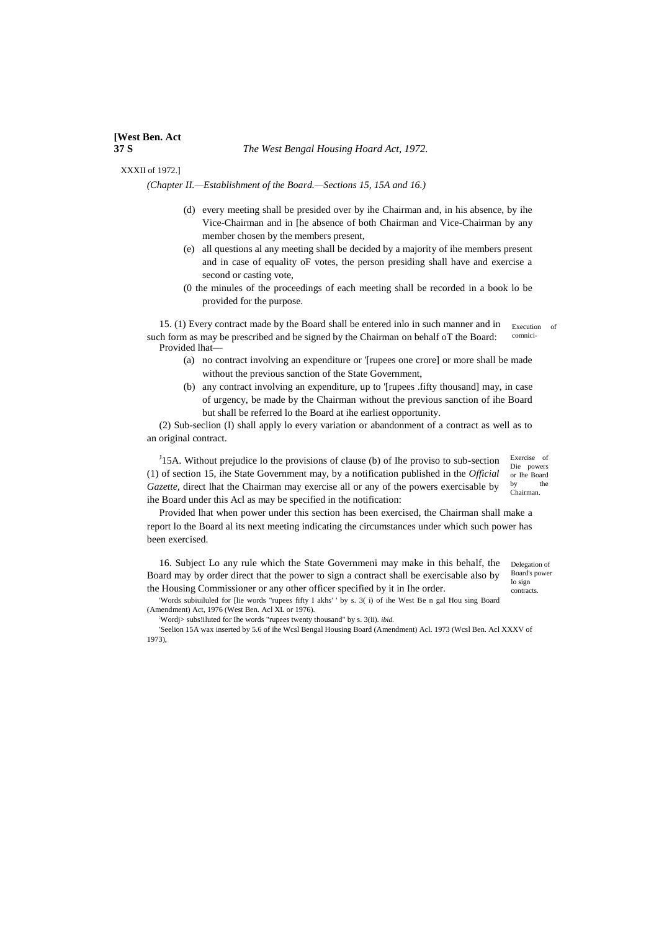### XXXII of 1972.]

*(Chapter II.—Establishment of the Board.—Sections 15, 15A and 16.)*

- (d) every meeting shall be presided over by ihe Chairman and, in his absence, by ihe Vice-Chairman and in [he absence of both Chairman and Vice-Chairman by any member chosen by the members present,
- (e) all questions al any meeting shall be decided by a majority of ihe members present and in case of equality oF votes, the person presiding shall have and exercise a second or casting vote,
- (0 the minules of the proceedings of each meeting shall be recorded in a book lo be provided for the purpose.

15. (1) Every contract made by the Board shall be entered inlo in such manner and in Execution of comnicisuch form as may be prescribed and be signed by the Chairman on behalf oT the Board: Provided lhat-

- (a) no contract involving an expenditure or '[rupees one crore] or more shall be made without the previous sanction of the State Government,
- (b) any contract involving an expenditure, up to '[rupees .fifty thousand] may, in case of urgency, be made by the Chairman without the previous sanction of ihe Board but shall be referred lo the Board at ihe earliest opportunity.

(2) Sub-seclion (I) shall apply lo every variation or abandonment of a contract as well as to an original contract.

Chairman.  $J<sup>J</sup>$ 15A. Without prejudice lo the provisions of clause (b) of Ihe proviso to sub-section (1) of section 15, ihe State Government may, by a notification published in the *Official Gazette,* direct lhat the Chairman may exercise all or any of the powers exercisable by ihe Board under this Acl as may be specified in the notification:

Exercise of Die powers or Ihe Board by the

Provided lhat when power under this section has been exercised, the Chairman shall make a report lo the Board al its next meeting indicating the circumstances under which such power has been exercised.

16. Subject Lo any rule which the State Governmeni may make in this behalf, the Board may by order direct that the power to sign a contract shall be exercisable also by the Housing Commissioner or any other officer specified by it in Ihe order.

Delegation of Board's power lo sign contracts.

'Words subiuiluled for [lie words "rupees fifty I akhs' ' by s. 3( i) of ihe West Be n gal Hou sing Board (Amendment) Act, 1976 (West Ben. Acl XL or 1976).

:Wordj> subs!iluted for Ihe words "rupees twenty thousand" by s. 3(ii). *ibid.*

'Seelion 15A wax inserted by 5.6 of ihe Wcsl Bengal Housing Board (Amendment) Acl. 1973 (Wcsl Ben. Acl XXXV of 1973),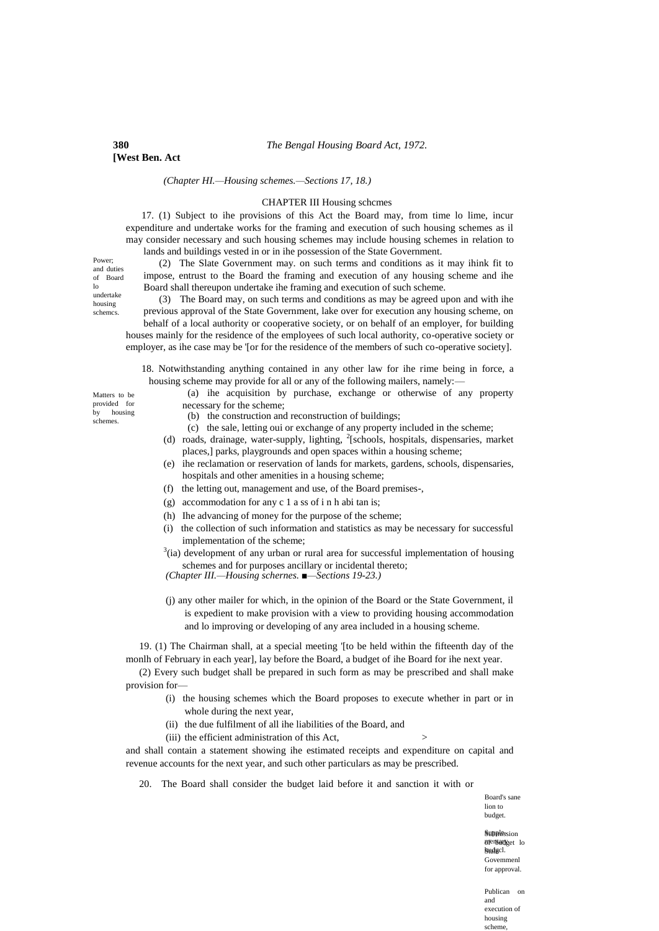*(Chapter HI.—Housing schemes.—Sections 17, 18.)*

# CHAPTER III Housing schcmes

17. (1) Subject to ihe provisions of this Act the Board may, from time lo lime, incur expenditure and undertake works for the framing and execution of such housing schemes as il may consider necessary and such housing schemes may include housing schemes in relation to lands and buildings vested in or in ihe possession of the State Government.

Power; and duties of Board lo undertake housing schemcs.

(2) The Slate Government may. on such terms and conditions as it may ihink fit to impose, entrust to the Board the framing and execution of any housing scheme and ihe Board shall thereupon undertake ihe framing and execution of such scheme.

(3) The Board may, on such terms and conditions as may be agreed upon and with ihe previous approval of the State Government, lake over for execution any housing scheme, on behalf of a local authority or cooperative society, or on behalf of an employer, for building houses mainly for the residence of the employees of such local authority, co-operative society or employer, as ihe case may be '[or for the residence of the members of such co-operative society].

18. Notwithstanding anything contained in any other law for ihe rime being in force, a housing scheme may provide for all or any of the following mailers, namely:-

(a) ihe acquisition by purchase, exchange or otherwise of any property necessary for the scheme;

- (b) the construction and reconstruction of buildings;
- (c) the sale, letting oui or exchange of any property included in the scheme;
- (d) roads, drainage, water-supply, lighting, <sup>2</sup>[schools, hospitals, dispensaries, market places,] parks, playgrounds and open spaces within a housing scheme;
- (e) ihe reclamation or reservation of lands for markets, gardens, schools, dispensaries, hospitals and other amenities in a housing scheme;
- (f) the letting out, management and use, of the Board premises-,
- (g) accommodation for any c 1 a ss of i n h abi tan is;
- (h) Ihe advancing of money for the purpose of the scheme;
- (i) the collection of such information and statistics as may be necessary for successful implementation of the scheme;
- $3$ (ia) development of any urban or rural area for successful implementation of housing schemes and for purposes ancillary or incidental thereto;
- *(Chapter III.—Housing schernes. ■—Sections 19-23.)*
- (j) any other mailer for which, in the opinion of the Board or the State Government, il is expedient to make provision with a view to providing housing accommodation and lo improving or developing of any area included in a housing scheme.

19. (1) The Chairman shall, at a special meeting '[to be held within the fifteenth day of the monlh of February in each year], lay before the Board, a budget of ihe Board for ihe next year.

(2) Every such budget shall be prepared in such form as may be prescribed and shall make provision for—

- (i) the housing schemes which the Board proposes to execute whether in part or in whole during the next year,
- (ii) the due fulfilment of all ihe liabilities of the Board, and
- (iii) the efficient administration of this Act,

and shall contain a statement showing ihe estimated receipts and expenditure on capital and revenue accounts for the next year, and such other particulars as may be prescribed.

20. The Board shall consider the budget laid before it and sanction it with or

Board's sane lion to budget.

**Supplession** Biensarget lo Stale hudgcl. Govemmenl for approval.

Publican on and execution of housing scheme

Matters to be provided for by housing schemes.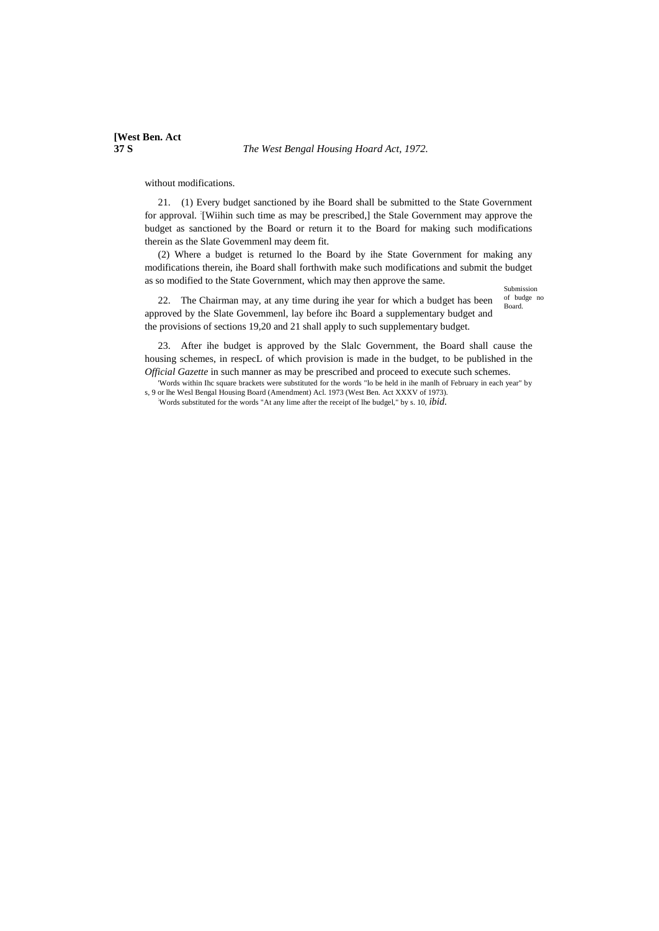### **37 S** *The West Bengal Housing Hoard Act, 1972.*

without modifications.

21. (1) Every budget sanctioned by ihe Board shall be submitted to the State Government for approval. [Wiihin such time as may be prescribed,] the Stale Government may approve the budget as sanctioned by the Board or return it to the Board for making such modifications therein as the Slate Govemmenl may deem fit.

(2) Where a budget is returned lo the Board by ihe State Government for making any modifications therein, ihe Board shall forthwith make such modifications and submit the budget as so modified to the State Government, which may then approve the same.

Submission of budge no Board.

22. The Chairman may, at any time during ihe year for which a budget has been approved by the Slate Govemmenl, lay before ihc Board a supplementary budget and the provisions of sections 19,20 and 21 shall apply to such supplementary budget.

23. After ihe budget is approved by the Slalc Government, the Board shall cause the housing schemes, in respecL of which provision is made in the budget, to be published in the *Official Gazette* in such manner as may be prescribed and proceed to execute such schemes.

'Words within Ihc square brackets were substituted for the words "lo be held in ihe manlh of February in each year" by s, 9 or lhe Wesl Bengal Housing Board (Amendment) Acl. 1973 (West Ben. Act XXXV of 1973).

:Words substituted for the words "At any lime after the receipt of lhe budgel," by s. 10, *ibid.*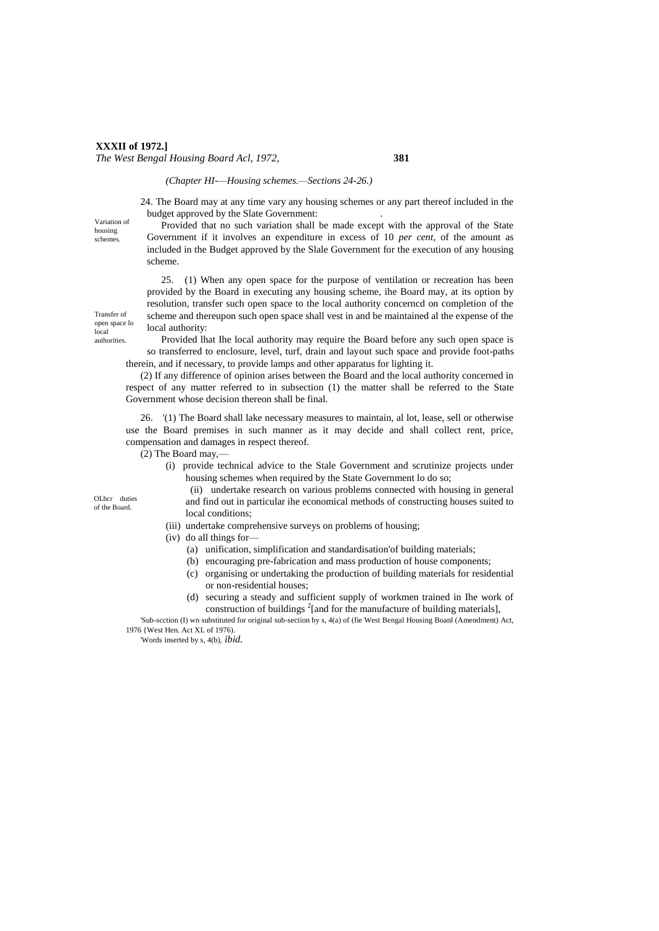# **XXXII of 1972.]** *The West Bengal Housing Board Acl, 1972,* **381**

# *(Chapter HI-—Housing schemes.—Sections 24-26.)*

24. The Board may at any time vary any housing schemes or any part thereof included in the budget approved by the Slate Government: .

Variation of housing schemes.

Transfer of open space lo local authorities.

Provided that no such variation shall be made except with the approval of the State Government if it involves an expenditure in excess of 10 *per cent,* of the amount as included in the Budget approved by the Slale Government for the execution of any housing scheme.

25. (1) When any open space for the purpose of ventilation or recreation has been provided by the Board in executing any housing scheme, ihe Board may, at its option by resolution, transfer such open space to the local authority concerncd on completion of the scheme and thereupon such open space shall vest in and be maintained al the expense of the local authority:

Provided lhat Ihe local authority may require the Board before any such open space is so transferred to enclosure, level, turf, drain and layout such space and provide foot-paths therein, and if necessary, to provide lamps and other apparatus for lighting it.

(2) If any difference of opinion arises between the Board and the local authority concerned in respect of any matter referred to in subsection (1) the matter shall be referred to the State Government whose decision thereon shall be final.

26. '(1) The Board shall lake necessary measures to maintain, al lot, lease, sell or otherwise use the Board premises in such manner as it may decide and shall collect rent, price, compensation and damages in respect thereof.

(2) The Board may,—

- (i) provide technical advice to the Stale Government and scrutinize projects under housing schemes when required by the State Government lo do so;
	- (ii) undertake research on various problems connected with housing in general and find out in particular ihe economical methods of constructing houses suited to local conditions;
- (iii) undertake comprehensive surveys on problems of housing;
- (iv) do all things for—
	- (a) unification, simplification and standardisation'of building materials;
	- (b) encouraging pre-fabrication and mass production of house components;
	- (c) organising or undertaking the production of building materials for residential or non-residential houses;
	- (d) securing a steady and sufficient supply of workmen trained in Ihe work of construction of buildings  $2$ [and for the manufacture of building materials],

'Sub-scction (I) wn substituted for original sub-section by s, 4(a) of (fie West Bengal Housing Boanl (Amendment) Act, 1976 {West Hen. Act XL of 1976).

'Words inserted by s, 4(b), *ibid.*

OLhcr duties of the Board.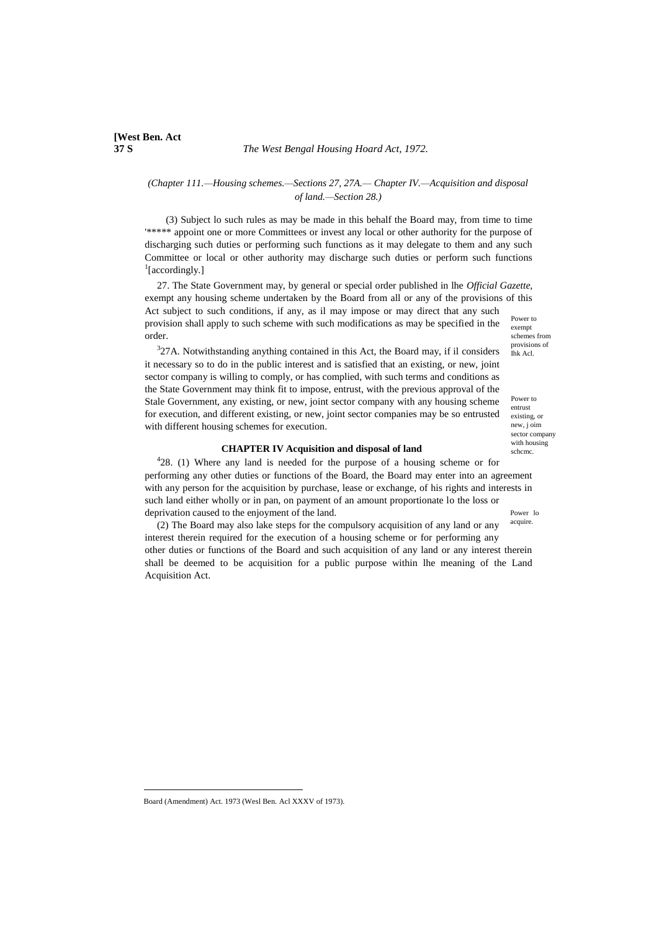# *(Chapter 111.—Housing schemes.—Sections 27, 27A.— Chapter IV.—Acquisition and disposal of land.—Section 28.)*

(3) Subject lo such rules as may be made in this behalf the Board may, from time to time '\*\*\*\*\* appoint one or more Committees or invest any local or other authority for the purpose of discharging such duties or performing such functions as it may delegate to them and any such Committee or local or other authority may discharge such duties or perform such functions <sup>1</sup>[accordingly.]

Power to exempt schemes from provisions of 27. The State Government may, by general or special order published in lhe *Official Gazette,* exempt any housing scheme undertaken by the Board from all or any of the provisions of this Act subject to such conditions, if any, as il may impose or may direct that any such provision shall apply to such scheme with such modifications as may be specified in the order.

 $327A$ . Notwithstanding anything contained in this Act, the Board may, if il considers it necessary so to do in the public interest and is satisfied that an existing, or new, joint sector company is willing to comply, or has complied, with such terms and conditions as the State Government may think fit to impose, entrust, with the previous approval of the Stale Government, any existing, or new, joint sector company with any housing scheme for execution, and different existing, or new, joint sector companies may be so entrusted with different housing schemes for execution.

### **CHAPTER IV Acquisition and disposal of land**

Power lo  $428$ . (1) Where any land is needed for the purpose of a housing scheme or for performing any other duties or functions of the Board, the Board may enter into an agreement with any person for the acquisition by purchase, lease or exchange, of his rights and interests in such land either wholly or in pan, on payment of an amount proportionate lo the loss or deprivation caused to the enjoyment of the land.

acquire.

Ihk Acl.

Power to entrust existing, or new, j oim sector company with housing schcmc.

(2) The Board may also lake steps for the compulsory acquisition of any land or any interest therein required for the execution of a housing scheme or for performing any other duties or functions of the Board and such acquisition of any land or any interest therein shall be deemed to be acquisition for a public purpose within lhe meaning of the Land Acquisition Act.

 $\overline{a}$ 

Board (Amendment) Act. 1973 (Wesl Ben. Acl XXXV of 1973).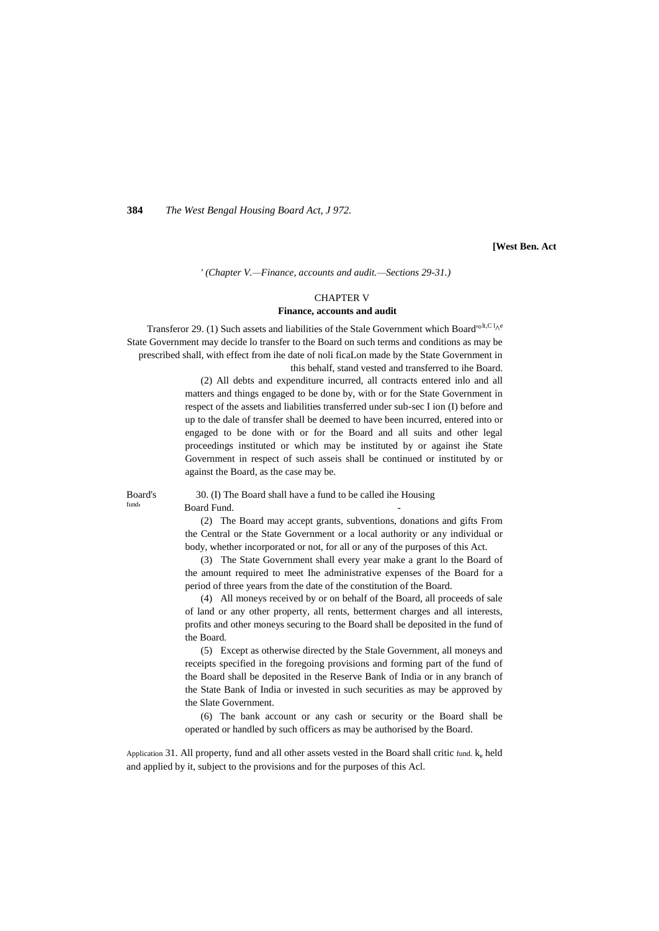**[West Ben. Act**

*' (Chapter V.—Finance, accounts and audit.—Sections 29-31.)*

### CHAPTER V **Finance, accounts and audit**

Transferor 29. (1) Such assets and liabilities of the Stale Government which Board<sup>'olt,C l</sup>^e State Government may decide lo transfer to the Board on such terms and conditions as may be prescribed shall, with effect from ihe date of noli ficaLon made by the State Government in this behalf, stand vested and transferred to ihe Board.

(2) All debts and expenditure incurred, all contracts entered inlo and all matters and things engaged to be done by, with or for the State Government in respect of the assets and liabilities transferred under sub-sec I ion (I) before and up to the dale of transfer shall be deemed to have been incurred, entered into or engaged to be done with or for the Board and all suits and other legal proceedings instituted or which may be instituted by or against ihe State Government in respect of such asseis shall be continued or instituted by or against the Board, as the case may be.

fund'

Board's 30. (I) The Board shall have a fund to be called ihe Housing Board Fund.

> (2) The Board may accept grants, subventions, donations and gifts From the Central or the State Government or a local authority or any individual or body, whether incorporated or not, for all or any of the purposes of this Act.

> (3) The State Government shall every year make a grant lo the Board of the amount required to meet Ihe administrative expenses of the Board for a period of three years from the date of the constitution of the Board.

> (4) All moneys received by or on behalf of the Board, all proceeds of sale of land or any other property, all rents, betterment charges and all interests, profits and other moneys securing to the Board shall be deposited in the fund of the Board.

> (5) Except as otherwise directed by the Stale Government, all moneys and receipts specified in the foregoing provisions and forming part of the fund of the Board shall be deposited in the Reserve Bank of India or in any branch of the State Bank of India or invested in such securities as may be approved by the Slate Government.

> (6) The bank account or any cash or security or the Board shall be operated or handled by such officers as may be authorised by the Board.

Application 31. All property, fund and all other assets vested in the Board shall critic fund.  $k_e$  held and applied by it, subject to the provisions and for the purposes of this Acl.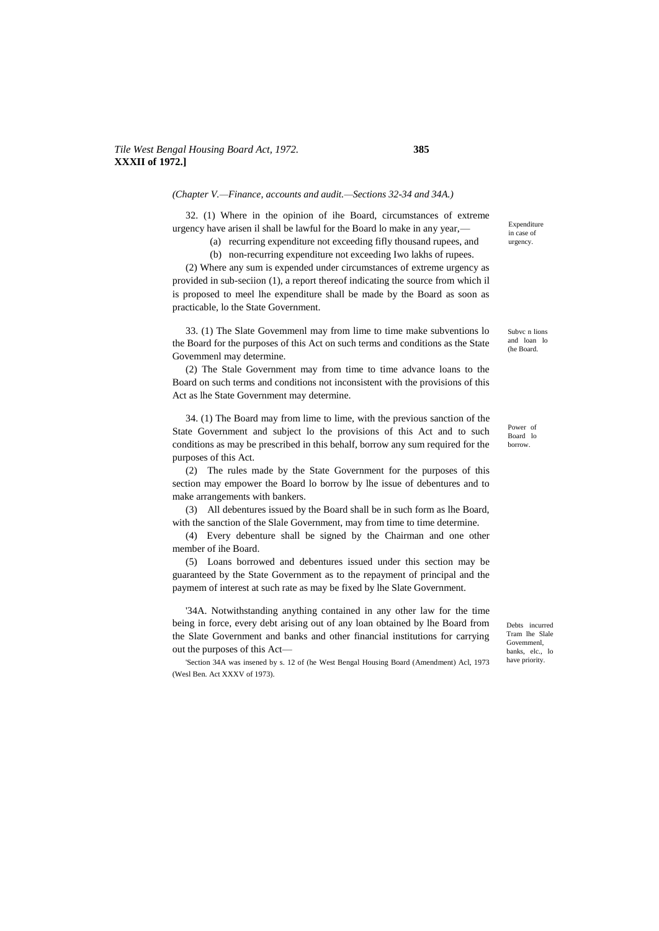# *Tile West Bengal Housing Board Act, 1972.* **385 XXXII of 1972.]**

*(Chapter V.—Finance, accounts and audit.—Sections 32-34 and 34A.)*

32. (1) Where in the opinion of ihe Board, circumstances of extreme urgency have arisen il shall be lawful for the Board lo make in any year,—

(a) recurring expenditure not exceeding fifly thousand rupees, and (b) non-recurring expenditure not exceeding Iwo lakhs of rupees.

(2) Where any sum is expended under circumstances of extreme urgency as provided in sub-seciion (1), a report thereof indicating the source from which il is proposed to meel lhe expenditure shall be made by the Board as soon as practicable, lo the State Government.

33. (1) The Slate Govemmenl may from lime to time make subventions lo the Board for the purposes of this Act on such terms and conditions as the State Govemmenl may determine.

(2) The Stale Government may from time to time advance loans to the Board on such terms and conditions not inconsistent with the provisions of this Act as lhe State Government may determine.

34. (1) The Board may from lime to lime, with the previous sanction of the State Government and subject lo the provisions of this Act and to such conditions as may be prescribed in this behalf, borrow any sum required for the purposes of this Act.

(2) The rules made by the State Government for the purposes of this section may empower the Board lo borrow by lhe issue of debentures and to make arrangements with bankers.

(3) All debentures issued by the Board shall be in such form as lhe Board, with the sanction of the Slale Government, may from time to time determine.

(4) Every debenture shall be signed by the Chairman and one other member of ihe Board.

(5) Loans borrowed and debentures issued under this section may be guaranteed by the State Government as to the repayment of principal and the paymem of interest at such rate as may be fixed by lhe Slate Government.

'34A. Notwithstanding anything contained in any other law for the time being in force, every debt arising out of any loan obtained by lhe Board from the Slate Government and banks and other financial institutions for carrying out the purposes of this Act—

'Section 34A was insened by s. 12 of (he West Bengal Housing Board (Amendment) Acl, 1973 (Wesl Ben. Act XXXV of 1973).

Expenditure in case of urgency.

Subvc n lions and loan lo (he Board.

Power of Board lo borrow.

Debts incurred Tram lhe Slale Govemmenl, banks, elc., lo have priority.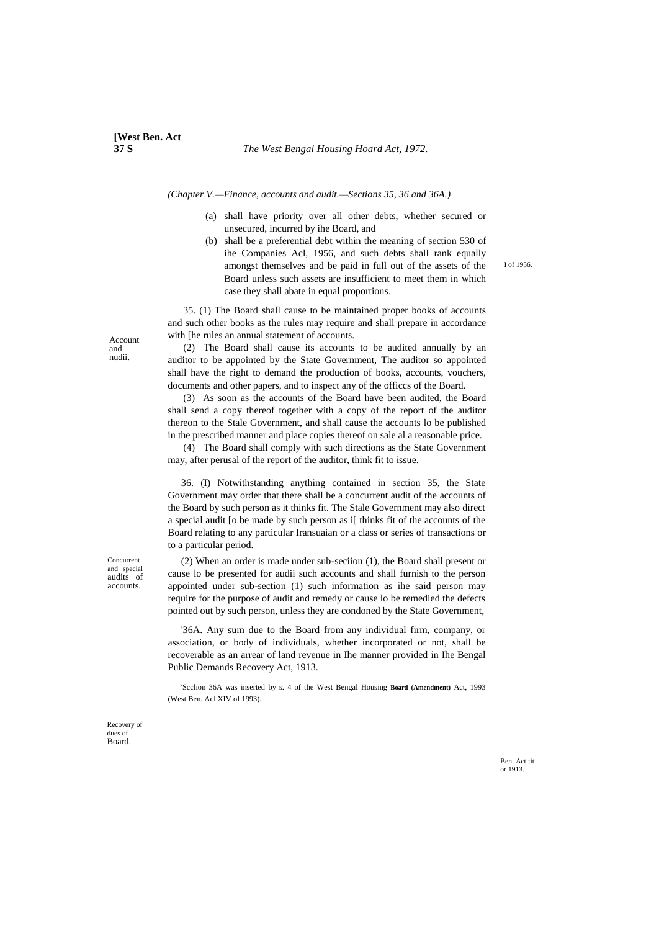*(Chapter V.—Finance, accounts and audit.—Sections 35, 36 and 36A.)*

- (a) shall have priority over all other debts, whether secured or unsecured, incurred by ihe Board, and
- (b) shall be a preferential debt within the meaning of section 530 of ihe Companies Acl, 1956, and such debts shall rank equally amongst themselves and be paid in full out of the assets of the Board unless such assets are insufficient to meet them in which case they shall abate in equal proportions.

35. (1) The Board shall cause to be maintained proper books of accounts and such other books as the rules may require and shall prepare in accordance with [he rules an annual statement of accounts.

(2) The Board shall cause its accounts to be audited annually by an auditor to be appointed by the State Government, The auditor so appointed shall have the right to demand the production of books, accounts, vouchers, documents and other papers, and to inspect any of the officcs of the Board.

(3) As soon as the accounts of the Board have been audited, the Board shall send a copy thereof together with a copy of the report of the auditor thereon to the Stale Government, and shall cause the accounts lo be published in the prescribed manner and place copies thereof on sale al a reasonable price.

(4) The Board shall comply with such directions as the State Government may, after perusal of the report of the auditor, think fit to issue.

36. (I) Notwithstanding anything contained in section 35, the State Government may order that there shall be a concurrent audit of the accounts of the Board by such person as it thinks fit. The Stale Government may also direct a special audit [o be made by such person as i[ thinks fit of the accounts of the Board relating to any particular Iransuaian or a class or series of transactions or to a particular period.

(2) When an order is made under sub-seciion (1), the Board shall present or cause lo be presented for audii such accounts and shall furnish to the person appointed under sub-section (1) such information as ihe said person may require for the purpose of audit and remedy or cause lo be remedied the defects pointed out by such person, unless they are condoned by the State Government,

'36A. Any sum due to the Board from any individual firm, company, or association, or body of individuals, whether incorporated or not, shall be recoverable as an arrear of land revenue in Ihe manner provided in Ihe Bengal Public Demands Recovery Act, 1913.

'Scclion 36A was inserted by s. 4 of the West Bengal Housing **Board (Amendment)** Act, 1993 (West Ben. Acl XIV of 1993).

Account and nudii.

Concurrent and special audits of accounts.

Recovery of dues of Board.

> Ben. Act tit or 1913.

I of 1956.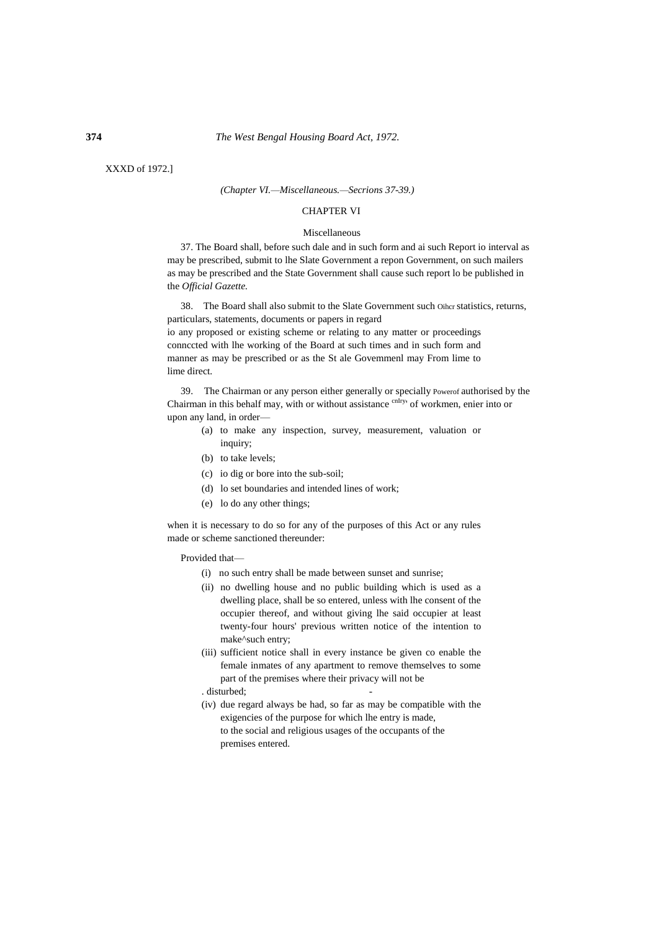XXXD of 1972.]

#### *(Chapter VI.—Miscellaneous.—Secrions 37-39.)*

### CHAPTER VI

#### Miscellaneous

37. The Board shall, before such dale and in such form and ai such Report io interval as may be prescribed, submit to lhe Slate Government a repon Government, on such mailers as may be prescribed and the State Government shall cause such report lo be published in the *Official Gazette.*

38. The Board shall also submit to the Slate Government such Oihcr statistics, returns, particulars, statements, documents or papers in regard

io any proposed or existing scheme or relating to any matter or proceedings connccted with lhe working of the Board at such times and in such form and manner as may be prescribed or as the St ale Govemmenl may From lime to lime direct.

39. The Chairman or any person either generally or specially Powerof authorised by the Chairman in this behalf may, with or without assistance cnaity of workmen, enier into or upon any land, in order—

- (a) to make any inspection, survey, measurement, valuation or inquiry;
- (b) to take levels;
- (c) io dig or bore into the sub-soil;
- (d) lo set boundaries and intended lines of work;
- (e) lo do any other things;

when it is necessary to do so for any of the purposes of this Act or any rules made or scheme sanctioned thereunder:

Provided that—

- (i) no such entry shall be made between sunset and sunrise;
- (ii) no dwelling house and no public building which is used as a dwelling place, shall be so entered, unless with lhe consent of the occupier thereof, and without giving lhe said occupier at least twenty-four hours' previous written notice of the intention to make^such entry;
- (iii) sufficient notice shall in every instance be given co enable the female inmates of any apartment to remove themselves to some part of the premises where their privacy will not be
- . disturbed;
- (iv) due regard always be had, so far as may be compatible with the exigencies of the purpose for which lhe entry is made, to the social and religious usages of the occupants of the premises entered.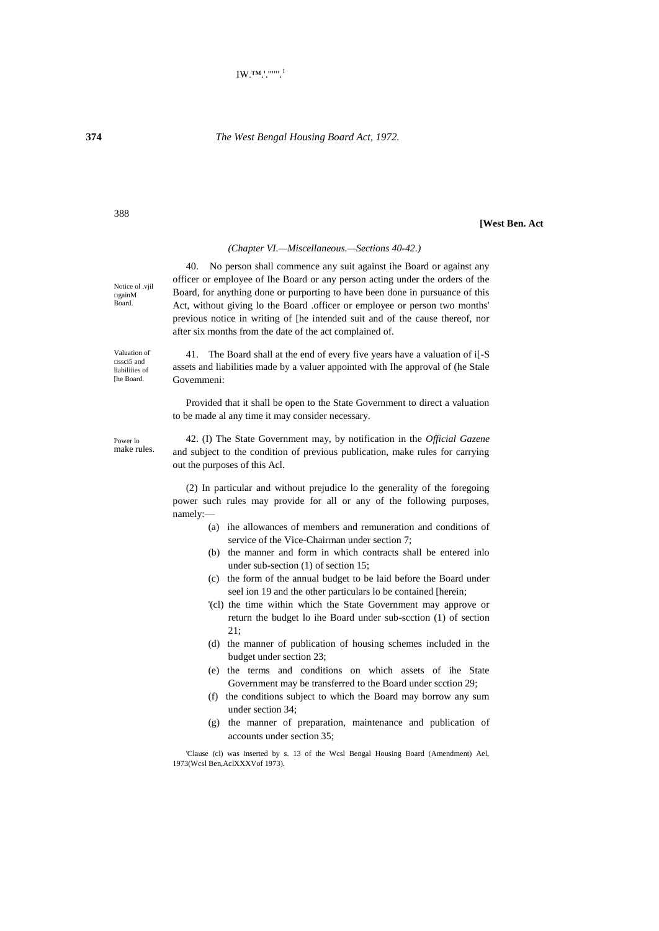# **[West Ben. Act**

# *(Chapter VI.—Miscellaneous.—Sections 40-42.)*

40. No person shall commence any suit against ihe Board or against any officer or employee of Ihe Board or any person acting under the orders of the Board, for anything done or purporting to have been done in pursuance of this Act, without giving lo the Board .officer or employee or person two months' previous notice in writing of [he intended suit and of the cause thereof, nor after six months from the date of the act complained of.

41. The Board shall at the end of every five years have a valuation of i[-S assets and liabilities made by a valuer appointed with Ihe approval of (he Stale Govemmeni:

Provided that it shall be open to the State Government to direct a valuation to be made al any time it may consider necessary.

Power lo make rules.

42. (I) The State Government may, by notification in the *Official Gazene* and subject to the condition of previous publication, make rules for carrying out the purposes of this Acl.

(2) In particular and without prejudice lo the generality of the foregoing power such rules may provide for all or any of the following purposes, namely:—

- (a) ihe allowances of members and remuneration and conditions of service of the Vice-Chairman under section 7;
- (b) the manner and form in which contracts shall be entered inlo under sub-section (1) of section 15;
- (c) the form of the annual budget to be laid before the Board under seel ion 19 and the other particulars lo be contained [herein;
- '(cl) the time within which the State Government may approve or return the budget lo ihe Board under sub-scction (1) of section 21;
- (d) the manner of publication of housing schemes included in the budget under section 23;
- (e) the terms and conditions on which assets of ihe State Government may be transferred to the Board under scction 29;
- (f) the conditions subject to which the Board may borrow any sum under section 34;
- (g) the manner of preparation, maintenance and publication of accounts under section 35;

'Clause (cl) was inserted by s. 13 of the Wcsl Bengal Housing Board (Amendment) Ael, 1973(Wcsl Ben,AclXXXVof 1973).

Notice ol .vjil □gainM Board.

Valuation of □ssci5 and liabiliiies of [he Board.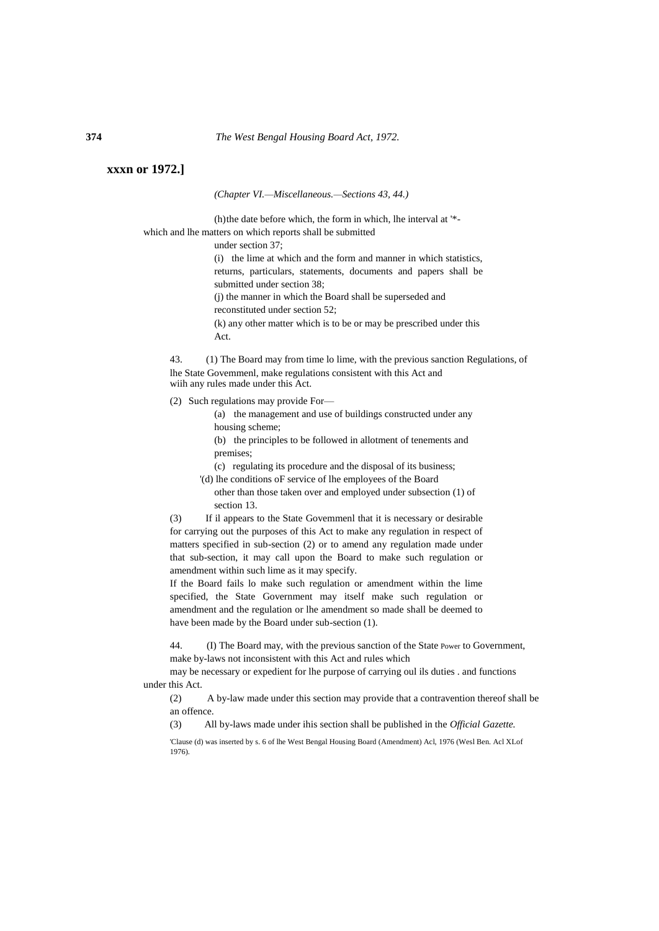# **xxxn or 1972.]**

*(Chapter VI.—Miscellaneous.—Sections 43, 44.)*

(h)the date before which, the form in which, lhe interval at '\* which and lhe matters on which reports shall be submitted

under section 37;

(i) the lime at which and the form and manner in which statistics, returns, particulars, statements, documents and papers shall be submitted under section 38; (j) the manner in which the Board shall be superseded and

reconstituted under section 52;

(k) any other matter which is to be or may be prescribed under this

Act.

43. (1) The Board may from time lo lime, with the previous sanction Regulations, of lhe State Govemmenl, make regulations consistent with this Act and wiih any rules made under this Act.

(2) Such regulations may provide For—

(a) the management and use of buildings constructed under any housing scheme;

(b) the principles to be followed in allotment of tenements and premises;

(c) regulating its procedure and the disposal of its business;

'(d) lhe conditions oF service of lhe employees of the Board

other than those taken over and employed under subsection (1) of section 13.

(3) If il appears to the State Govemmenl that it is necessary or desirable for carrying out the purposes of this Act to make any regulation in respect of matters specified in sub-section (2) or to amend any regulation made under that sub-section, it may call upon the Board to make such regulation or amendment within such lime as it may specify.

If the Board fails lo make such regulation or amendment within the lime specified, the State Government may itself make such regulation or amendment and the regulation or lhe amendment so made shall be deemed to have been made by the Board under sub-section (1).

44. (I) The Board may, with the previous sanction of the State Power to Government, make by-laws not inconsistent with this Act and rules which

may be necessary or expedient for lhe purpose of carrying oul ils duties . and functions under this Act.

(2) A by-law made under this section may provide that a contravention thereof shall be an offence.

(3) All by-laws made under ihis section shall be published in the *Official Gazette.*

'Clause (d) was inserted by s. 6 of lhe West Bengal Housing Board (Amendment) Acl, 1976 (Wesl Ben. Acl XLof 1976).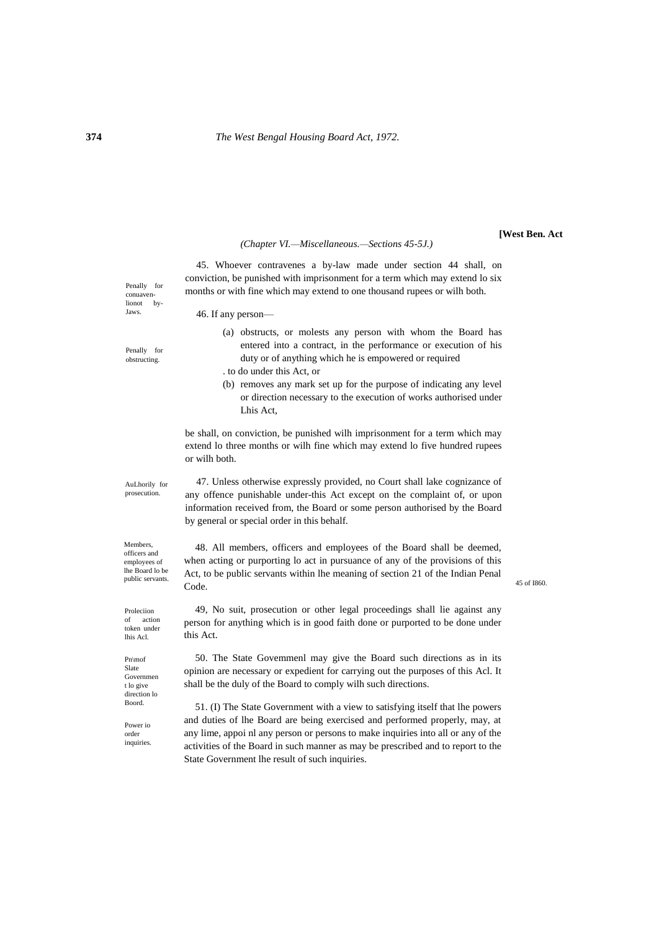#### *(Chapter VI.—Miscellaneous.—Sections 45-5J.)*

45. Whoever contravenes a by-law made under section 44 shall, on conviction, be punished with imprisonment for a term which may extend lo six months or with fine which may extend to one thousand rupees or wilh both.

> (a) obstructs, or molests any person with whom the Board has entered into a contract, in the performance or execution of his

> (b) removes any mark set up for the purpose of indicating any level or direction necessary to the execution of works authorised under

duty or of anything which he is empowered or required

46. If any person—

or wilh both.

. to do under this Act, or

Lhis Act,

Penally for obstructing.

Penally for conuavenlionot by-Jaws.

AuLhorily for prosecution.

Members, officers and

47. Unless otherwise expressly provided, no Court shall lake cognizance of any offence punishable under-this Act except on the complaint of, or upon information received from, the Board or some person authorised by the Board by general or special order in this behalf.

be shall, on conviction, be punished wilh imprisonment for a term which may extend lo three months or wilh fine which may extend lo five hundred rupees

the Board lobe<br>
public servants within lhe meaning of section 21 of the Indian Penal<br>
45 of 1860. 48. All members, officers and employees of the Board shall be deemed, when acting or purporting lo act in pursuance of any of the provisions of this Code.

> 49, No suit, prosecution or other legal proceedings shall lie against any person for anything which is in good faith done or purported to be done under this Act.

> 50. The State Govemmenl may give the Board such directions as in its opinion are necessary or expedient for carrying out the purposes of this Acl. It shall be the duly of the Board to comply wilh such directions.

> 51. (I) The State Government with a view to satisfying itself that lhe powers and duties of lhe Board are being exercised and performed properly, may, at any lime, appoi nl any person or persons to make inquiries into all or any of the activities of the Board in such manner as may be prescribed and to report to the State Government lhe result of such inquiries.

employees of lhe Board lo be<br>public servants

Proleciion of action token under lhis Acl.

Pn\mof Slate Governmen t lo give direction lo Boord.

Power io order inquiries.

**[West Ben. Act**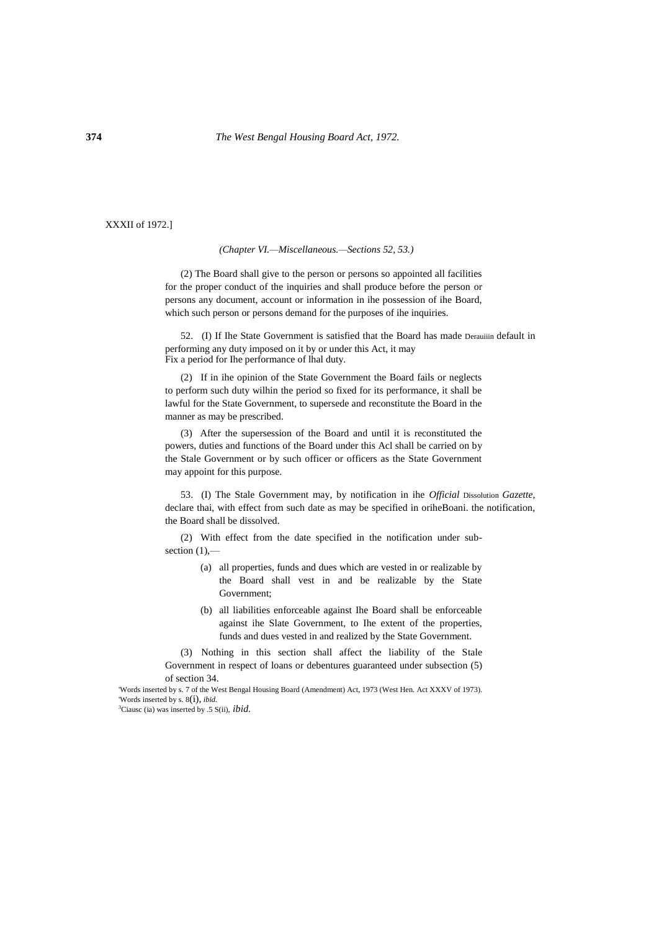XXXII of 1972.]

# *(Chapter VI.—Miscellaneous.—Sections 52, 53.)*

(2) The Board shall give to the person or persons so appointed all facilities for the proper conduct of the inquiries and shall produce before the person or persons any document, account or information in ihe possession of ihe Board, which such person or persons demand for the purposes of ihe inquiries.

52. (I) If Ihe State Government is satisfied that the Board has made Derauiiin default in performing any duty imposed on it by or under this Act, it may Fix a period for Ihe performance of lhal duty.

(2) If in ihe opinion of the State Government the Board fails or neglects to perform such duty wilhin the period so fixed for its performance, it shall be lawful for the State Government, to supersede and reconstitute the Board in the manner as may be prescribed.

(3) After the supersession of the Board and until it is reconstituted the powers, duties and functions of the Board under this Acl shall be carried on by the Stale Government or by such officer or officers as the State Government may appoint for this purpose.

53. (I) The Stale Government may, by notification in ihe *Official* Dissolution *Gazette,* declare thai, with effect from such date as may be specified in oriheBoani. the notification, the Board shall be dissolved.

(2) With effect from the date specified in the notification under subsection  $(1)$ ,—

- (a) all properties, funds and dues which are vested in or realizable by the Board shall vest in and be realizable by the State Government;
- (b) all liabilities enforceable against Ihe Board shall be enforceable against ihe Slate Government, to Ihe extent of the properties, funds and dues vested in and realized by the State Government.

(3) Nothing in this section shall affect the liability of the Stale Government in respect of loans or debentures guaranteed under subsection (5) of section 34.

'Words inserted by s. 7 of the West Bengal Housing Board (Amendment) Act, 1973 (West Hen. Act XXXV of 1973). 'Words inserted by s. 8(i), *ibid.*

<sup>3</sup>Ciausc (ia) was inserted by .5 S(ii), *ibid.*